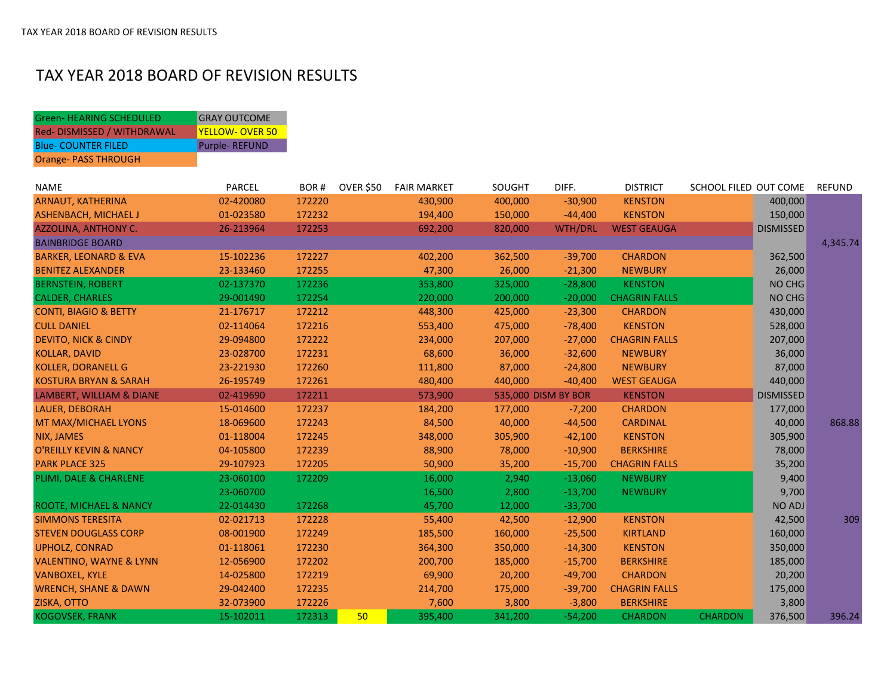## TAX YEAR 2018 BOARD OF REVISION RESULTS

Green- HEARING SCHEDULED GRAY OUTCOME

| Red-DISMISSED / WITHDRAWAL          | <b>YELLOW- OVER 50</b> |        |                  |                    |         |                     |                      |                       |                  |               |
|-------------------------------------|------------------------|--------|------------------|--------------------|---------|---------------------|----------------------|-----------------------|------------------|---------------|
| <b>Blue- COUNTER FILED</b>          | <b>Purple-REFUND</b>   |        |                  |                    |         |                     |                      |                       |                  |               |
| <b>Orange- PASS THROUGH</b>         |                        |        |                  |                    |         |                     |                      |                       |                  |               |
|                                     |                        |        |                  |                    |         |                     |                      |                       |                  |               |
| <b>NAME</b>                         | PARCEL                 | BOR#   | <b>OVER \$50</b> | <b>FAIR MARKET</b> | SOUGHT  | DIFF.               | <b>DISTRICT</b>      | SCHOOL FILED OUT COME |                  | <b>REFUND</b> |
| <b>ARNAUT, KATHERINA</b>            | 02-420080              | 172220 |                  | 430,900            | 400,000 | $-30,900$           | <b>KENSTON</b>       |                       | 400,000          |               |
| <b>ASHENBACH, MICHAEL J</b>         | 01-023580              | 172232 |                  | 194,400            | 150,000 | $-44,400$           | <b>KENSTON</b>       |                       | 150,000          |               |
| <b>AZZOLINA, ANTHONY C.</b>         | 26-213964              | 172253 |                  | 692,200            | 820,000 | <b>WTH/DRL</b>      | <b>WEST GEAUGA</b>   |                       | <b>DISMISSED</b> |               |
| <b>BAINBRIDGE BOARD</b>             |                        |        |                  |                    |         |                     |                      |                       |                  | 4,345.74      |
| <b>BARKER, LEONARD &amp; EVA</b>    | 15-102236              | 172227 |                  | 402,200            | 362,500 | $-39,700$           | <b>CHARDON</b>       |                       | 362,500          |               |
| <b>BENITEZ ALEXANDER</b>            | 23-133460              | 172255 |                  | 47,300             | 26,000  | $-21,300$           | <b>NEWBURY</b>       |                       | 26,000           |               |
| <b>BERNSTEIN, ROBERT</b>            | 02-137370              | 172236 |                  | 353,800            | 325,000 | $-28,800$           | <b>KENSTON</b>       |                       | NO CHG           |               |
| <b>CALDER, CHARLES</b>              | 29-001490              | 172254 |                  | 220,000            | 200,000 | $-20,000$           | <b>CHAGRIN FALLS</b> |                       | NO CHG           |               |
| <b>CONTI, BIAGIO &amp; BETTY</b>    | 21-176717              | 172212 |                  | 448,300            | 425,000 | $-23,300$           | <b>CHARDON</b>       |                       | 430,000          |               |
| <b>CULL DANIEL</b>                  | 02-114064              | 172216 |                  | 553,400            | 475,000 | $-78,400$           | <b>KENSTON</b>       |                       | 528,000          |               |
| <b>DEVITO, NICK &amp; CINDY</b>     | 29-094800              | 172222 |                  | 234,000            | 207,000 | $-27,000$           | <b>CHAGRIN FALLS</b> |                       | 207,000          |               |
| <b>KOLLAR, DAVID</b>                | 23-028700              | 172231 |                  | 68,600             | 36,000  | $-32,600$           | <b>NEWBURY</b>       |                       | 36,000           |               |
| <b>KOLLER, DORANELL G</b>           | 23-221930              | 172260 |                  | 111,800            | 87,000  | $-24,800$           | <b>NEWBURY</b>       |                       | 87,000           |               |
| <b>KOSTURA BRYAN &amp; SARAH</b>    | 26-195749              | 172261 |                  | 480,400            | 440,000 | $-40,400$           | <b>WEST GEAUGA</b>   |                       | 440,000          |               |
| <b>LAMBERT, WILLIAM &amp; DIANE</b> | 02-419690              | 172211 |                  | 573,900            |         | 535,000 DISM BY BOR | <b>KENSTON</b>       |                       | <b>DISMISSED</b> |               |
| LAUER, DEBORAH                      | 15-014600              | 172237 |                  | 184,200            | 177,000 | $-7,200$            | <b>CHARDON</b>       |                       | 177,000          |               |
| MT MAX/MICHAEL LYONS                | 18-069600              | 172243 |                  | 84,500             | 40,000  | $-44,500$           | <b>CARDINAL</b>      |                       | 40,000           | 868.88        |
| NIX, JAMES                          | 01-118004              | 172245 |                  | 348,000            | 305,900 | $-42,100$           | <b>KENSTON</b>       |                       | 305,900          |               |
| <b>O'REILLY KEVIN &amp; NANCY</b>   | 04-105800              | 172239 |                  | 88,900             | 78,000  | $-10,900$           | <b>BERKSHIRE</b>     |                       | 78,000           |               |
| <b>PARK PLACE 325</b>               | 29-107923              | 172205 |                  | 50,900             | 35,200  | $-15,700$           | <b>CHAGRIN FALLS</b> |                       | 35,200           |               |
| PLIMI, DALE & CHARLENE              | 23-060100              | 172209 |                  | 16,000             | 2,940   | $-13,060$           | <b>NEWBURY</b>       |                       | 9,400            |               |
|                                     | 23-060700              |        |                  | 16,500             | 2,800   | $-13,700$           | <b>NEWBURY</b>       |                       | 9,700            |               |
| ROOTE, MICHAEL & NANCY              | 22-014430              | 172268 |                  | 45,700             | 12,000  | $-33,700$           |                      |                       | <b>NO ADJ</b>    |               |
| <b>SIMMONS TERESITA</b>             | 02-021713              | 172228 |                  | 55,400             | 42,500  | $-12,900$           | <b>KENSTON</b>       |                       | 42,500           | 309           |
| <b>STEVEN DOUGLASS CORP</b>         | 08-001900              | 172249 |                  | 185,500            | 160,000 | $-25,500$           | <b>KIRTLAND</b>      |                       | 160,000          |               |
| <b>UPHOLZ, CONRAD</b>               | 01-118061              | 172230 |                  | 364,300            | 350,000 | $-14,300$           | <b>KENSTON</b>       |                       | 350,000          |               |
| <b>VALENTINO, WAYNE &amp; LYNN</b>  | 12-056900              | 172202 |                  | 200,700            | 185,000 | $-15,700$           | <b>BERKSHIRE</b>     |                       | 185,000          |               |
| <b>VANBOXEL, KYLE</b>               | 14-025800              | 172219 |                  | 69,900             | 20,200  | $-49,700$           | <b>CHARDON</b>       |                       | 20,200           |               |
| <b>WRENCH, SHANE &amp; DAWN</b>     | 29-042400              | 172235 |                  | 214,700            | 175,000 | $-39,700$           | <b>CHAGRIN FALLS</b> |                       | 175,000          |               |
| ZISKA, OTTO                         | 32-073900              | 172226 |                  | 7,600              | 3,800   | $-3,800$            | <b>BERKSHIRE</b>     |                       | 3,800            |               |
| KOGOVSEK, FRANK                     | 15-102011              | 172313 | 50               | 395,400            | 341,200 | $-54,200$           | <b>CHARDON</b>       | <b>CHARDON</b>        | 376,500          | 396.24        |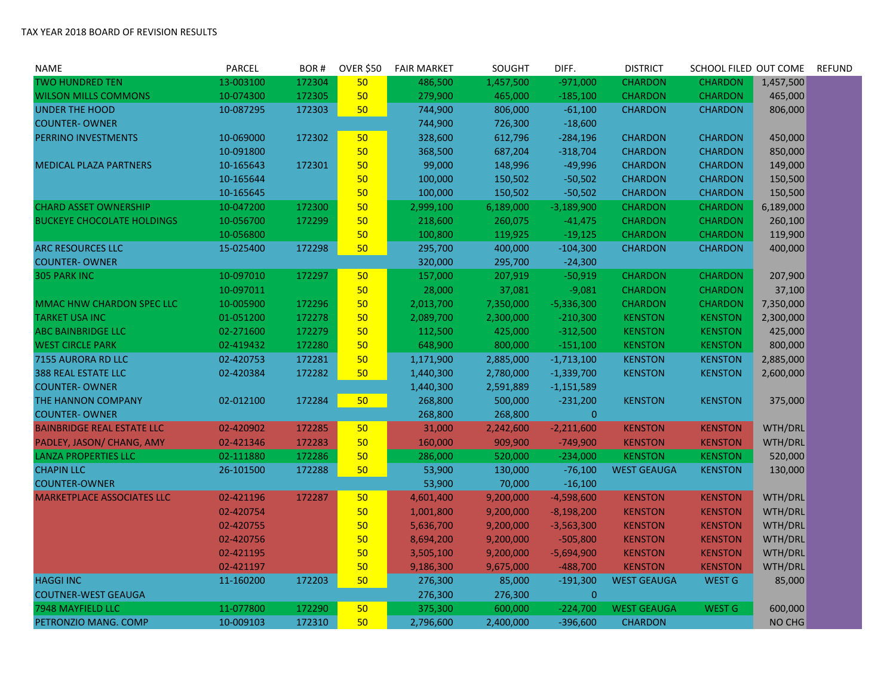| <b>NAME</b>                       | <b>PARCEL</b> | BOR#   | <b>OVER \$50</b> | <b>FAIR MARKET</b> | SOUGHT    | DIFF.          | <b>DISTRICT</b>    | SCHOOL FILED OUT COME |           | <b>REFUND</b> |
|-----------------------------------|---------------|--------|------------------|--------------------|-----------|----------------|--------------------|-----------------------|-----------|---------------|
| <b>TWO HUNDRED TEN</b>            | 13-003100     | 172304 | 50               | 486,500            | 1,457,500 | $-971,000$     | <b>CHARDON</b>     | <b>CHARDON</b>        | 1,457,500 |               |
| <b>WILSON MILLS COMMONS</b>       | 10-074300     | 172305 | 50               | 279,900            | 465,000   | $-185,100$     | <b>CHARDON</b>     | <b>CHARDON</b>        | 465,000   |               |
| <b>UNDER THE HOOD</b>             | 10-087295     | 172303 | 50               | 744,900            | 806,000   | $-61,100$      | <b>CHARDON</b>     | <b>CHARDON</b>        | 806,000   |               |
| <b>COUNTER-OWNER</b>              |               |        |                  | 744,900            | 726,300   | $-18,600$      |                    |                       |           |               |
| PERRINO INVESTMENTS               | 10-069000     | 172302 | 50               | 328,600            | 612,796   | $-284,196$     | <b>CHARDON</b>     | <b>CHARDON</b>        | 450,000   |               |
|                                   | 10-091800     |        | 50               | 368,500            | 687,204   | $-318,704$     | <b>CHARDON</b>     | <b>CHARDON</b>        | 850,000   |               |
| <b>MEDICAL PLAZA PARTNERS</b>     | 10-165643     | 172301 | 50               | 99,000             | 148,996   | $-49,996$      | <b>CHARDON</b>     | <b>CHARDON</b>        | 149,000   |               |
|                                   | 10-165644     |        | 50               | 100,000            | 150,502   | $-50,502$      | <b>CHARDON</b>     | <b>CHARDON</b>        | 150,500   |               |
|                                   | 10-165645     |        | 50               | 100,000            | 150,502   | $-50,502$      | <b>CHARDON</b>     | <b>CHARDON</b>        | 150,500   |               |
| <b>CHARD ASSET OWNERSHIP</b>      | 10-047200     | 172300 | 50               | 2,999,100          | 6,189,000 | $-3,189,900$   | <b>CHARDON</b>     | <b>CHARDON</b>        | 6,189,000 |               |
| <b>BUCKEYE CHOCOLATE HOLDINGS</b> | 10-056700     | 172299 | 50               | 218,600            | 260,075   | $-41,475$      | <b>CHARDON</b>     | <b>CHARDON</b>        | 260,100   |               |
|                                   | 10-056800     |        | 50               | 100,800            | 119,925   | $-19,125$      | <b>CHARDON</b>     | <b>CHARDON</b>        | 119,900   |               |
| <b>ARC RESOURCES LLC</b>          | 15-025400     | 172298 | 50               | 295,700            | 400,000   | $-104,300$     | <b>CHARDON</b>     | <b>CHARDON</b>        | 400,000   |               |
| <b>COUNTER-OWNER</b>              |               |        |                  | 320,000            | 295,700   | $-24,300$      |                    |                       |           |               |
| <b>305 PARK INC</b>               | 10-097010     | 172297 | 50               | 157,000            | 207,919   | $-50,919$      | <b>CHARDON</b>     | <b>CHARDON</b>        | 207,900   |               |
|                                   | 10-097011     |        | 50               | 28,000             | 37,081    | $-9,081$       | <b>CHARDON</b>     | <b>CHARDON</b>        | 37,100    |               |
| MMAC HNW CHARDON SPEC LLC         | 10-005900     | 172296 | 50               | 2,013,700          | 7,350,000 | $-5,336,300$   | <b>CHARDON</b>     | <b>CHARDON</b>        | 7,350,000 |               |
| <b>TARKET USA INC</b>             | 01-051200     | 172278 | 50               | 2,089,700          | 2,300,000 | $-210,300$     | <b>KENSTON</b>     | <b>KENSTON</b>        | 2,300,000 |               |
| <b>ABC BAINBRIDGE LLC</b>         | 02-271600     | 172279 | 50               | 112,500            | 425,000   | $-312,500$     | <b>KENSTON</b>     | <b>KENSTON</b>        | 425,000   |               |
| <b>WEST CIRCLE PARK</b>           | 02-419432     | 172280 | 50               | 648,900            | 800,000   | $-151,100$     | <b>KENSTON</b>     | <b>KENSTON</b>        | 800,000   |               |
| 7155 AURORA RD LLC                | 02-420753     | 172281 | 50               | 1,171,900          | 2,885,000 | $-1,713,100$   | <b>KENSTON</b>     | <b>KENSTON</b>        | 2,885,000 |               |
| <b>388 REAL ESTATE LLC</b>        | 02-420384     | 172282 | 50               | 1,440,300          | 2,780,000 | $-1,339,700$   | <b>KENSTON</b>     | <b>KENSTON</b>        | 2,600,000 |               |
| <b>COUNTER-OWNER</b>              |               |        |                  | 1,440,300          | 2,591,889 | $-1,151,589$   |                    |                       |           |               |
| THE HANNON COMPANY                | 02-012100     | 172284 | 50               | 268,800            | 500,000   | $-231,200$     | <b>KENSTON</b>     | <b>KENSTON</b>        | 375,000   |               |
| <b>COUNTER-OWNER</b>              |               |        |                  | 268,800            | 268,800   | $\overline{0}$ |                    |                       |           |               |
| <b>BAINBRIDGE REAL ESTATE LLC</b> | 02-420902     | 172285 | 50 <sub>2</sub>  | 31,000             | 2,242,600 | $-2,211,600$   | <b>KENSTON</b>     | <b>KENSTON</b>        | WTH/DRL   |               |
| PADLEY, JASON/ CHANG, AMY         | 02-421346     | 172283 | 50               | 160,000            | 909,900   | $-749,900$     | <b>KENSTON</b>     | <b>KENSTON</b>        | WTH/DRL   |               |
| <b>LANZA PROPERTIES LLC</b>       | 02-111880     | 172286 | 50               | 286,000            | 520,000   | $-234,000$     | <b>KENSTON</b>     | <b>KENSTON</b>        | 520,000   |               |
| <b>CHAPIN LLC</b>                 | 26-101500     | 172288 | 50               | 53,900             | 130,000   | $-76,100$      | <b>WEST GEAUGA</b> | <b>KENSTON</b>        | 130,000   |               |
| <b>COUNTER-OWNER</b>              |               |        |                  | 53,900             | 70,000    | $-16,100$      |                    |                       |           |               |
| <b>MARKETPLACE ASSOCIATES LLC</b> | 02-421196     | 172287 | 50               | 4,601,400          | 9,200,000 | $-4,598,600$   | <b>KENSTON</b>     | <b>KENSTON</b>        | WTH/DRL   |               |
|                                   | 02-420754     |        | 50               | 1,001,800          | 9,200,000 | $-8,198,200$   | <b>KENSTON</b>     | <b>KENSTON</b>        | WTH/DRL   |               |
|                                   | 02-420755     |        | 50               | 5,636,700          | 9,200,000 | $-3,563,300$   | <b>KENSTON</b>     | <b>KENSTON</b>        | WTH/DRL   |               |
|                                   | 02-420756     |        | 50               | 8,694,200          | 9,200,000 | $-505,800$     | <b>KENSTON</b>     | <b>KENSTON</b>        | WTH/DRL   |               |
|                                   | 02-421195     |        | 50               | 3,505,100          | 9,200,000 | $-5,694,900$   | <b>KENSTON</b>     | <b>KENSTON</b>        | WTH/DRL   |               |
|                                   | 02-421197     |        | 50               | 9,186,300          | 9,675,000 | $-488,700$     | <b>KENSTON</b>     | <b>KENSTON</b>        | WTH/DRL   |               |
| <b>HAGGI INC</b>                  | 11-160200     | 172203 | 50               | 276,300            | 85,000    | $-191,300$     | <b>WEST GEAUGA</b> | <b>WEST G</b>         | 85,000    |               |
| <b>COUTNER-WEST GEAUGA</b>        |               |        |                  | 276,300            | 276,300   | $\mathbf{0}$   |                    |                       |           |               |
| 7948 MAYFIELD LLC                 | 11-077800     | 172290 | 50 <sub>2</sub>  | 375,300            | 600,000   | $-224,700$     | <b>WEST GEAUGA</b> | <b>WEST G</b>         | 600,000   |               |
| PETRONZIO MANG. COMP              | 10-009103     | 172310 | 50               | 2,796,600          | 2,400,000 | $-396,600$     | <b>CHARDON</b>     |                       | NO CHG    |               |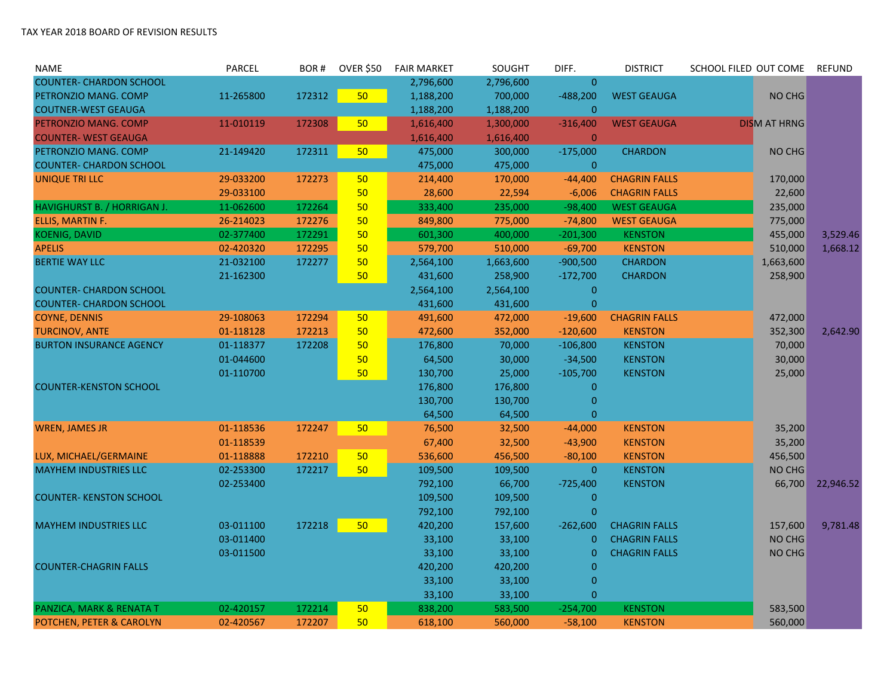| <b>NAME</b>                    | PARCEL    | BOR#   | <b>OVER \$50</b> | <b>FAIR MARKET</b> | <b>SOUGHT</b> | DIFF.          | <b>DISTRICT</b>      | SCHOOL FILED OUT COME | <b>REFUND</b> |
|--------------------------------|-----------|--------|------------------|--------------------|---------------|----------------|----------------------|-----------------------|---------------|
| <b>COUNTER- CHARDON SCHOOL</b> |           |        |                  | 2,796,600          | 2,796,600     | $\mathbf{0}$   |                      |                       |               |
| PETRONZIO MANG. COMP           | 11-265800 | 172312 | 50               | 1,188,200          | 700,000       | $-488,200$     | <b>WEST GEAUGA</b>   | NO CHG                |               |
| <b>COUTNER-WEST GEAUGA</b>     |           |        |                  | 1,188,200          | 1,188,200     | $\overline{0}$ |                      |                       |               |
| PETRONZIO MANG. COMP           | 11-010119 | 172308 | 50               | 1,616,400          | 1,300,000     | $-316,400$     | <b>WEST GEAUGA</b>   | <b>DISM AT HRNG</b>   |               |
| <b>COUNTER- WEST GEAUGA</b>    |           |        |                  | 1,616,400          | 1,616,400     | $\overline{0}$ |                      |                       |               |
| PETRONZIO MANG. COMP           | 21-149420 | 172311 | 50               | 475,000            | 300,000       | $-175,000$     | <b>CHARDON</b>       | NO CHG                |               |
| <b>COUNTER- CHARDON SCHOOL</b> |           |        |                  | 475,000            | 475,000       | $\mathbf{0}$   |                      |                       |               |
| <b>UNIQUE TRI LLC</b>          | 29-033200 | 172273 | 50               | 214,400            | 170,000       | $-44,400$      | <b>CHAGRIN FALLS</b> | 170,000               |               |
|                                | 29-033100 |        | 50               | 28,600             | 22,594        | $-6,006$       | <b>CHAGRIN FALLS</b> | 22,600                |               |
| HAVIGHURST B. / HORRIGAN J.    | 11-062600 | 172264 | 50               | 333,400            | 235,000       | $-98,400$      | <b>WEST GEAUGA</b>   | 235,000               |               |
| ELLIS, MARTIN F.               | 26-214023 | 172276 | 50               | 849,800            | 775,000       | $-74,800$      | <b>WEST GEAUGA</b>   | 775,000               |               |
| <b>KOENIG, DAVID</b>           | 02-377400 | 172291 | 50               | 601,300            | 400,000       | $-201,300$     | <b>KENSTON</b>       | 455,000               | 3,529.46      |
| <b>APELIS</b>                  | 02-420320 | 172295 | 50               | 579,700            | 510,000       | $-69,700$      | <b>KENSTON</b>       | 510,000               | 1,668.12      |
| <b>BERTIE WAY LLC</b>          | 21-032100 | 172277 | 50               | 2,564,100          | 1,663,600     | $-900,500$     | <b>CHARDON</b>       | 1,663,600             |               |
|                                | 21-162300 |        | 50               | 431,600            | 258,900       | $-172,700$     | <b>CHARDON</b>       | 258,900               |               |
| <b>COUNTER- CHARDON SCHOOL</b> |           |        |                  | 2,564,100          | 2,564,100     | $\bf{0}$       |                      |                       |               |
| <b>COUNTER- CHARDON SCHOOL</b> |           |        |                  | 431,600            | 431,600       | $\overline{0}$ |                      |                       |               |
| <b>COYNE, DENNIS</b>           | 29-108063 | 172294 | 50               | 491,600            | 472,000       | $-19,600$      | <b>CHAGRIN FALLS</b> | 472,000               |               |
| <b>TURCINOV, ANTE</b>          | 01-118128 | 172213 | 50               | 472,600            | 352,000       | $-120,600$     | <b>KENSTON</b>       | 352,300               | 2,642.90      |
| <b>BURTON INSURANCE AGENCY</b> | 01-118377 | 172208 | 50               | 176,800            | 70,000        | $-106,800$     | <b>KENSTON</b>       | 70,000                |               |
|                                | 01-044600 |        | 50               | 64,500             | 30,000        | $-34,500$      | <b>KENSTON</b>       | 30,000                |               |
|                                | 01-110700 |        | 50               | 130,700            | 25,000        | $-105,700$     | <b>KENSTON</b>       | 25,000                |               |
| <b>COUNTER-KENSTON SCHOOL</b>  |           |        |                  | 176,800            | 176,800       | $\overline{0}$ |                      |                       |               |
|                                |           |        |                  | 130,700            | 130,700       | $\mathbf{0}$   |                      |                       |               |
|                                |           |        |                  | 64,500             | 64,500        | $\overline{0}$ |                      |                       |               |
| <b>WREN, JAMES JR</b>          | 01-118536 | 172247 | 50               | 76,500             | 32,500        | $-44,000$      | <b>KENSTON</b>       | 35,200                |               |
|                                | 01-118539 |        |                  | 67,400             | 32,500        | $-43,900$      | <b>KENSTON</b>       | 35,200                |               |
| LUX, MICHAEL/GERMAINE          | 01-118888 | 172210 | 50               | 536,600            | 456,500       | $-80,100$      | <b>KENSTON</b>       | 456,500               |               |
| <b>MAYHEM INDUSTRIES LLC</b>   | 02-253300 | 172217 | 50               | 109,500            | 109,500       | $\mathbf 0$    | <b>KENSTON</b>       | NO CHG                |               |
|                                | 02-253400 |        |                  | 792,100            | 66,700        | $-725,400$     | <b>KENSTON</b>       | 66,700                | 22,946.52     |
| <b>COUNTER- KENSTON SCHOOL</b> |           |        |                  | 109,500            | 109,500       | $\bf{0}$       |                      |                       |               |
|                                |           |        |                  | 792,100            | 792,100       | $\overline{0}$ |                      |                       |               |
| <b>MAYHEM INDUSTRIES LLC</b>   | 03-011100 | 172218 | 50               | 420,200            | 157,600       | $-262,600$     | <b>CHAGRIN FALLS</b> | 157,600               | 9,781.48      |
|                                | 03-011400 |        |                  | 33,100             | 33,100        | $\mathbf{0}$   | <b>CHAGRIN FALLS</b> | NO CHG                |               |
|                                | 03-011500 |        |                  | 33,100             | 33,100        | $\mathbf 0$    | <b>CHAGRIN FALLS</b> | NO CHG                |               |
| <b>COUNTER-CHAGRIN FALLS</b>   |           |        |                  | 420,200            | 420,200       | $\mathbf{0}$   |                      |                       |               |
|                                |           |        |                  | 33,100             | 33,100        | $\mathbf{0}$   |                      |                       |               |
|                                |           |        |                  | 33,100             | 33,100        | $\mathbf{0}$   |                      |                       |               |
| PANZICA, MARK & RENATA T       | 02-420157 | 172214 | 50               | 838,200            | 583,500       | $-254,700$     | <b>KENSTON</b>       | 583,500               |               |
| POTCHEN, PETER & CAROLYN       | 02-420567 | 172207 | 50               | 618,100            | 560,000       | $-58,100$      | <b>KENSTON</b>       | 560,000               |               |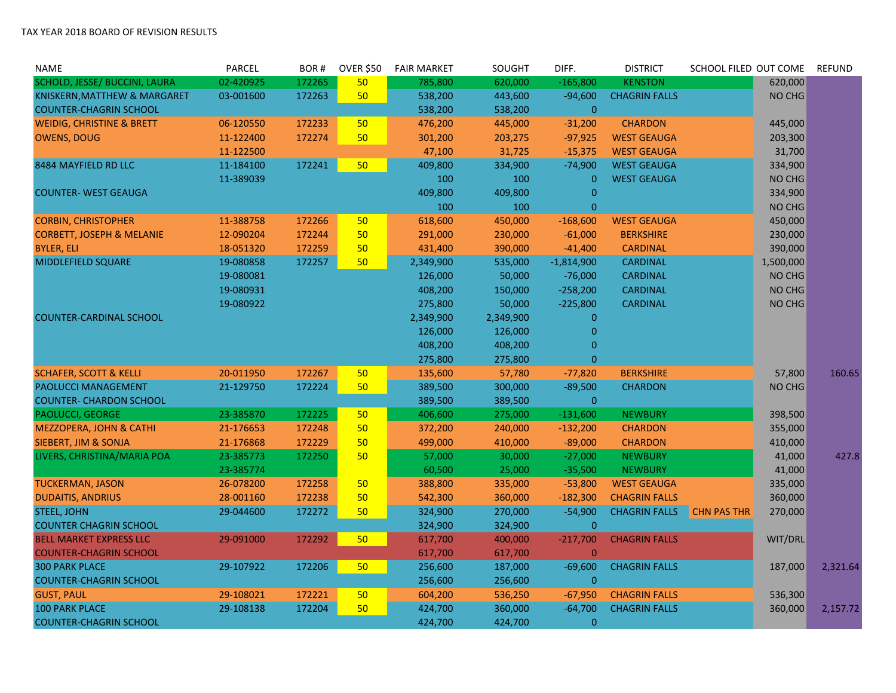| NAME                                 | PARCEL    | BOR#   | <b>OVER \$50</b> | <b>FAIR MARKET</b> | SOUGHT    | DIFF.          | <b>DISTRICT</b>      | SCHOOL FILED OUT COME |           | <b>REFUND</b> |
|--------------------------------------|-----------|--------|------------------|--------------------|-----------|----------------|----------------------|-----------------------|-----------|---------------|
| SCHOLD, JESSE/ BUCCINI, LAURA        | 02-420925 | 172265 | 50               | 785,800            | 620,000   | $-165,800$     | <b>KENSTON</b>       |                       | 620,000   |               |
| KNISKERN, MATTHEW & MARGARET         | 03-001600 | 172263 | 50               | 538,200            | 443,600   | $-94,600$      | <b>CHAGRIN FALLS</b> |                       | NO CHG    |               |
| <b>COUNTER-CHAGRIN SCHOOL</b>        |           |        |                  | 538,200            | 538,200   | $\mathbf{0}$   |                      |                       |           |               |
| <b>WEIDIG, CHRISTINE &amp; BRETT</b> | 06-120550 | 172233 | 50               | 476,200            | 445,000   | $-31,200$      | <b>CHARDON</b>       |                       | 445,000   |               |
| <b>OWENS, DOUG</b>                   | 11-122400 | 172274 | 50               | 301,200            | 203,275   | $-97,925$      | <b>WEST GEAUGA</b>   |                       | 203,300   |               |
|                                      | 11-122500 |        |                  | 47,100             | 31,725    | $-15,375$      | <b>WEST GEAUGA</b>   |                       | 31,700    |               |
| 8484 MAYFIELD RD LLC                 | 11-184100 | 172241 | 50               | 409,800            | 334,900   | $-74,900$      | <b>WEST GEAUGA</b>   |                       | 334,900   |               |
|                                      | 11-389039 |        |                  | 100                | 100       | $\mathbf{0}$   | <b>WEST GEAUGA</b>   |                       | NO CHG    |               |
| <b>COUNTER- WEST GEAUGA</b>          |           |        |                  | 409,800            | 409,800   | $\overline{0}$ |                      |                       | 334,900   |               |
|                                      |           |        |                  | 100                | 100       | $\mathbf{0}$   |                      |                       | NO CHG    |               |
| <b>CORBIN, CHRISTOPHER</b>           | 11-388758 | 172266 | 50               | 618,600            | 450,000   | $-168,600$     | <b>WEST GEAUGA</b>   |                       | 450,000   |               |
| <b>CORBETT, JOSEPH &amp; MELANIE</b> | 12-090204 | 172244 | 50               | 291,000            | 230,000   | $-61,000$      | <b>BERKSHIRE</b>     |                       | 230,000   |               |
| <b>BYLER, ELI</b>                    | 18-051320 | 172259 | 50               | 431,400            | 390,000   | $-41,400$      | <b>CARDINAL</b>      |                       | 390,000   |               |
| MIDDLEFIELD SQUARE                   | 19-080858 | 172257 | 50               | 2,349,900          | 535,000   | $-1,814,900$   | <b>CARDINAL</b>      |                       | 1,500,000 |               |
|                                      | 19-080081 |        |                  | 126,000            | 50,000    | $-76,000$      | <b>CARDINAL</b>      |                       | NO CHG    |               |
|                                      | 19-080931 |        |                  | 408,200            | 150,000   | $-258,200$     | <b>CARDINAL</b>      |                       | NO CHG    |               |
|                                      | 19-080922 |        |                  | 275,800            | 50,000    | $-225,800$     | <b>CARDINAL</b>      |                       | NO CHG    |               |
| <b>COUNTER-CARDINAL SCHOOL</b>       |           |        |                  | 2,349,900          | 2,349,900 | $\mathbf{0}$   |                      |                       |           |               |
|                                      |           |        |                  | 126,000            | 126,000   | $\mathbf{0}$   |                      |                       |           |               |
|                                      |           |        |                  | 408,200            | 408,200   | $\overline{0}$ |                      |                       |           |               |
|                                      |           |        |                  | 275,800            | 275,800   | $\mathbf 0$    |                      |                       |           |               |
| <b>SCHAFER, SCOTT &amp; KELLI</b>    | 20-011950 | 172267 | 50               | 135,600            | 57,780    | $-77,820$      | <b>BERKSHIRE</b>     |                       | 57,800    | 160.65        |
| PAOLUCCI MANAGEMENT                  | 21-129750 | 172224 | 50               | 389,500            | 300,000   | $-89,500$      | <b>CHARDON</b>       |                       | NO CHG    |               |
| <b>COUNTER- CHARDON SCHOOL</b>       |           |        |                  | 389,500            | 389,500   | $\pmb{0}$      |                      |                       |           |               |
| PAOLUCCI, GEORGE                     | 23-385870 | 172225 | 50               | 406,600            | 275,000   | $-131,600$     | <b>NEWBURY</b>       |                       | 398,500   |               |
| <b>MEZZOPERA, JOHN &amp; CATHI</b>   | 21-176653 | 172248 | 50               | 372,200            | 240,000   | $-132,200$     | <b>CHARDON</b>       |                       | 355,000   |               |
| SIEBERT, JIM & SONJA                 | 21-176868 | 172229 | 50               | 499,000            | 410,000   | $-89,000$      | <b>CHARDON</b>       |                       | 410,000   |               |
| LIVERS, CHRISTINA/MARIA POA          | 23-385773 | 172250 | 50               | 57,000             | 30,000    | $-27,000$      | <b>NEWBURY</b>       |                       | 41,000    | 427.8         |
|                                      | 23-385774 |        |                  | 60,500             | 25,000    | $-35,500$      | <b>NEWBURY</b>       |                       | 41,000    |               |
| <b>TUCKERMAN, JASON</b>              | 26-078200 | 172258 | 50               | 388,800            | 335,000   | $-53,800$      | <b>WEST GEAUGA</b>   |                       | 335,000   |               |
| <b>DUDAITIS, ANDRIUS</b>             | 28-001160 | 172238 | 50               | 542,300            | 360,000   | $-182,300$     | <b>CHAGRIN FALLS</b> |                       | 360,000   |               |
| <b>STEEL, JOHN</b>                   | 29-044600 | 172272 | 50               | 324,900            | 270,000   | $-54,900$      | <b>CHAGRIN FALLS</b> | <b>CHN PAS THR</b>    | 270,000   |               |
| <b>COUNTER CHAGRIN SCHOOL</b>        |           |        |                  | 324,900            | 324,900   | $\mathbf{0}$   |                      |                       |           |               |
| <b>BELL MARKET EXPRESS LLC</b>       | 29-091000 | 172292 | 50               | 617,700            | 400,000   | $-217,700$     | <b>CHAGRIN FALLS</b> |                       | WIT/DRL   |               |
| <b>COUNTER-CHAGRIN SCHOOL</b>        |           |        |                  | 617,700            | 617,700   | $\mathbf{0}$   |                      |                       |           |               |
| <b>300 PARK PLACE</b>                | 29-107922 | 172206 | 50               | 256,600            | 187,000   | $-69,600$      | <b>CHAGRIN FALLS</b> |                       | 187,000   | 2,321.64      |
| <b>COUNTER-CHAGRIN SCHOOL</b>        |           |        |                  | 256,600            | 256,600   | $\overline{0}$ |                      |                       |           |               |
| <b>GUST, PAUL</b>                    | 29-108021 | 172221 | 50               | 604,200            | 536,250   | $-67,950$      | <b>CHAGRIN FALLS</b> |                       | 536,300   |               |
| <b>100 PARK PLACE</b>                | 29-108138 | 172204 | 50               | 424,700            | 360,000   | $-64,700$      | <b>CHAGRIN FALLS</b> |                       | 360,000   | 2,157.72      |
| <b>COUNTER-CHAGRIN SCHOOL</b>        |           |        |                  | 424,700            | 424,700   | $\pmb{0}$      |                      |                       |           |               |